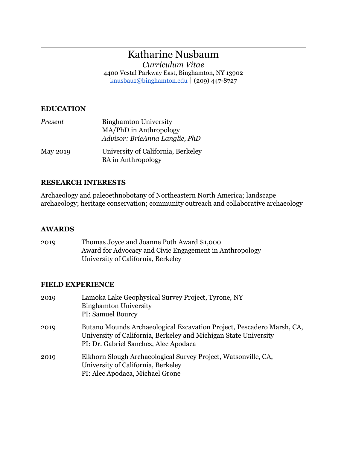# Katharine Nusbaum

*Curriculum Vitae*

4400 Vestal Parkway East, Binghamton, NY 13902 knusbau1@binghamton.edu|(209) 447-8727

## **EDUCATION**

| Present         | <b>Binghamton University</b>       |
|-----------------|------------------------------------|
|                 | MA/PhD in Anthropology             |
|                 | Advisor: BrieAnna Langlie, PhD     |
| <b>May 2019</b> | University of California, Berkeley |
|                 | <b>BA</b> in Anthropology          |

## **RESEARCH INTERESTS**

Archaeology and paleoethnobotany of Northeastern North America; landscape archaeology; heritage conservation; community outreach and collaborative archaeology

### **AWARDS**

| 2019 | Thomas Joyce and Joanne Poth Award \$1,000              |
|------|---------------------------------------------------------|
|      | Award for Advocacy and Civic Engagement in Anthropology |
|      | University of California, Berkeley                      |

### **FIELD EXPERIENCE**

| 2019 | Lamoka Lake Geophysical Survey Project, Tyrone, NY<br><b>Binghamton University</b><br>PI: Samuel Bourcy                                                                            |
|------|------------------------------------------------------------------------------------------------------------------------------------------------------------------------------------|
| 2019 | Butano Mounds Archaeological Excavation Project, Pescadero Marsh, CA,<br>University of California, Berkeley and Michigan State University<br>PI: Dr. Gabriel Sanchez, Alec Apodaca |
| 2019 | Elkhorn Slough Archaeological Survey Project, Watsonville, CA,<br>University of California, Berkeley<br>PI: Alec Apodaca, Michael Grone                                            |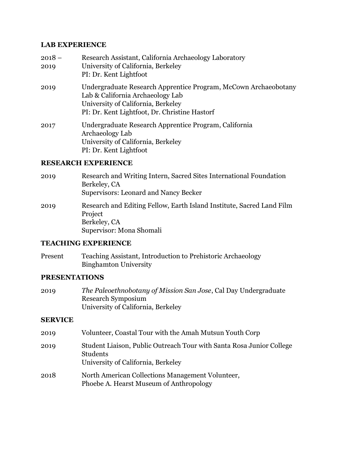### **LAB EXPERIENCE**

| $2018 -$ | Research Assistant, California Archaeology Laboratory           |
|----------|-----------------------------------------------------------------|
| 2019     | University of California, Berkeley                              |
|          | PI: Dr. Kent Lightfoot                                          |
| 2019     | Undergraduate Research Apprentice Program, McCown Archaeobotany |
|          | Lab & California Archaeology Lab                                |
|          | University of California, Berkeley                              |
|          | PI: Dr. Kent Lightfoot, Dr. Christine Hastorf                   |
| 2017     | Undergraduate Research Apprentice Program, California           |
|          | Archaeology Lab                                                 |
|          | University of California, Berkeley                              |
|          | PI: Dr. Kent Lightfoot                                          |

## **RESEARCH EXPERIENCE**

2019 Research and Writing Intern, Sacred Sites International Foundation Berkeley, CA Supervisors: Leonard and Nancy Becker 2019 Research and Editing Fellow, Earth Island Institute, Sacred Land Film Project Berkeley, CA Supervisor: Mona Shomali

## **TEACHING EXPERIENCE**

Present Teaching Assistant, Introduction to Prehistoric Archaeology Binghamton University

## **PRESENTATIONS**

2019 *The Paleoethnobotany of Mission San Jose*, Cal Day Undergraduate Research Symposium University of California, Berkeley

### **SERVICE**

| 2019 | Volunteer, Coastal Tour with the Amah Mutsun Youth Corp                                                                |
|------|------------------------------------------------------------------------------------------------------------------------|
| 2019 | Student Liaison, Public Outreach Tour with Santa Rosa Junior College<br>Students<br>University of California, Berkeley |
| 2018 | North American Collections Management Volunteer,<br>Phoebe A. Hearst Museum of Anthropology                            |